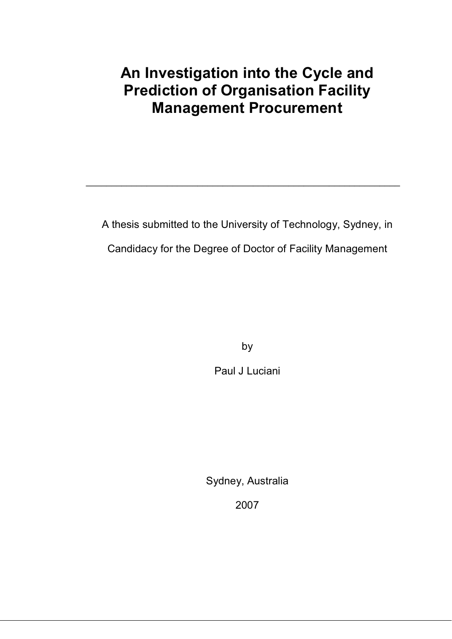# **An Investigation into the Cycle and Prediction of Organisation Facility Management Procurement**

A thesis submitted to the University of Technology, Sydney, in Candidacy for the Degree of Doctor of Facility Management

\_\_\_\_\_\_\_\_\_\_\_\_\_\_\_\_\_\_\_\_\_\_\_\_\_\_\_\_\_\_\_\_\_\_\_\_\_\_\_\_\_\_\_\_\_\_\_\_\_\_\_\_\_\_\_\_\_\_\_\_\_\_

by

Paul J Luciani

Sydney, Australia

2007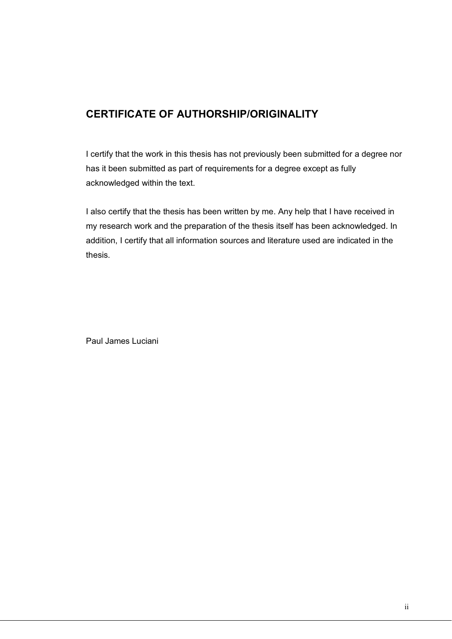## **CERTIFICATE OF AUTHORSHIP/ORIGINALITY**

I certify that the work in this thesis has not previously been submitted for a degree nor has it been submitted as part of requirements for a degree except as fully acknowledged within the text.

I also certify that the thesis has been written by me. Any help that I have received in my research work and the preparation of the thesis itself has been acknowledged. In addition, I certify that all information sources and literature used are indicated in the thesis.

Paul James Luciani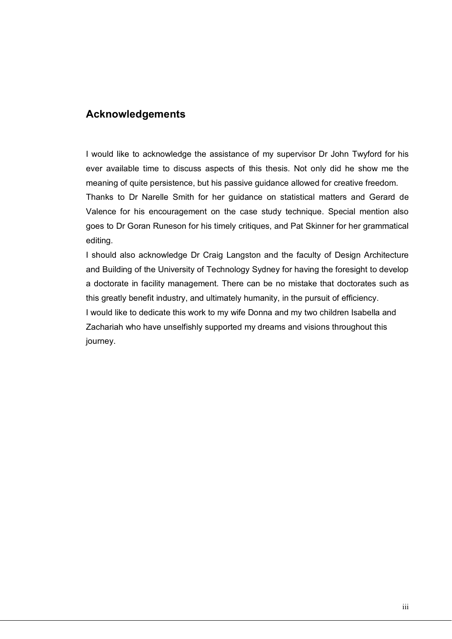## **Acknowledgements**

I would like to acknowledge the assistance of my supervisor Dr John Twyford for his ever available time to discuss aspects of this thesis. Not only did he show me the meaning of quite persistence, but his passive guidance allowed for creative freedom.

Thanks to Dr Narelle Smith for her guidance on statistical matters and Gerard de Valence for his encouragement on the case study technique. Special mention also goes to Dr Goran Runeson for his timely critiques, and Pat Skinner for her grammatical editing.

I should also acknowledge Dr Craig Langston and the faculty of Design Architecture and Building of the University of Technology Sydney for having the foresight to develop a doctorate in facility management. There can be no mistake that doctorates such as this greatly benefit industry, and ultimately humanity, in the pursuit of efficiency. I would like to dedicate this work to my wife Donna and my two children Isabella and Zachariah who have unselfishly supported my dreams and visions throughout this journey.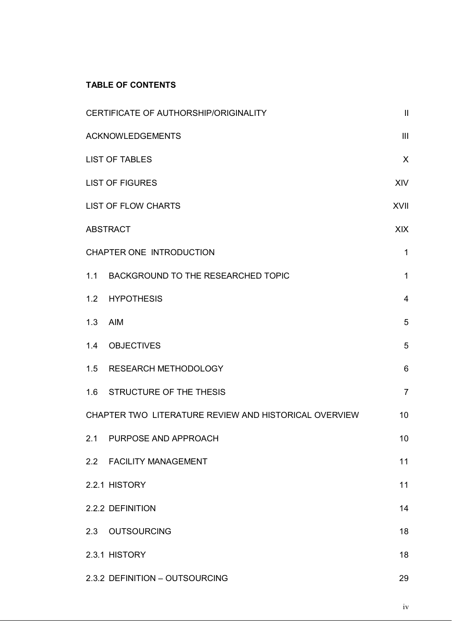### **TABLE OF CONTENTS**

|     | CERTIFICATE OF AUTHORSHIP/ORIGINALITY                 | $\mathbf{  }$  |
|-----|-------------------------------------------------------|----------------|
|     | <b>ACKNOWLEDGEMENTS</b>                               | III            |
|     | <b>LIST OF TABLES</b>                                 | X              |
|     | <b>LIST OF FIGURES</b>                                | <b>XIV</b>     |
|     | <b>LIST OF FLOW CHARTS</b>                            | <b>XVII</b>    |
|     | <b>ABSTRACT</b>                                       | <b>XIX</b>     |
|     | CHAPTER ONE INTRODUCTION                              | $\mathbf{1}$   |
|     | 1.1 BACKGROUND TO THE RESEARCHED TOPIC                | $\mathbf{1}$   |
|     | 1.2 HYPOTHESIS                                        | $\overline{4}$ |
| 1.3 | <b>AIM</b>                                            | 5              |
|     | 1.4 OBJECTIVES                                        | 5              |
|     | 1.5 RESEARCH METHODOLOGY                              | 6              |
|     | 1.6 STRUCTURE OF THE THESIS                           | $\overline{7}$ |
|     | CHAPTER TWO LITERATURE REVIEW AND HISTORICAL OVERVIEW | 10             |
|     | 2.1 PURPOSE AND APPROACH                              | 10             |
|     | 2.2 FACILITY MANAGEMENT                               | 11             |
|     | 2.2.1 HISTORY                                         | 11             |
|     | 2.2.2 DEFINITION                                      | 14             |
|     | 2.3 OUTSOURCING                                       | 18             |
|     | 2.3.1 HISTORY                                         | 18             |
|     | 2.3.2 DEFINITION - OUTSOURCING                        | 29             |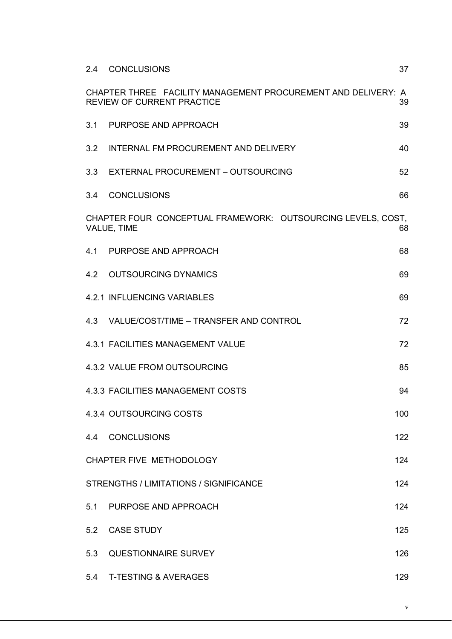| 2.4 | <b>CONCLUSIONS</b>                                                                                 | 37  |
|-----|----------------------------------------------------------------------------------------------------|-----|
|     | CHAPTER THREE FACILITY MANAGEMENT PROCUREMENT AND DELIVERY: A<br><b>REVIEW OF CURRENT PRACTICE</b> | 39  |
| 3.1 | PURPOSE AND APPROACH                                                                               | 39  |
| 3.2 | INTERNAL FM PROCUREMENT AND DELIVERY                                                               | 40  |
| 3.3 | EXTERNAL PROCUREMENT - OUTSOURCING                                                                 | 52  |
|     | 3.4 CONCLUSIONS                                                                                    | 66  |
|     | CHAPTER FOUR CONCEPTUAL FRAMEWORK: OUTSOURCING LEVELS, COST,<br>VALUE, TIME                        | 68  |
|     | 4.1 PURPOSE AND APPROACH                                                                           | 68  |
| 4.2 | <b>OUTSOURCING DYNAMICS</b>                                                                        | 69  |
|     | 4.2.1 INFLUENCING VARIABLES                                                                        | 69  |
|     | 4.3 VALUE/COST/TIME - TRANSFER AND CONTROL                                                         | 72  |
|     | 4.3.1 FACILITIES MANAGEMENT VALUE                                                                  | 72  |
|     | 4.3.2 VALUE FROM OUTSOURCING                                                                       | 85  |
|     | 4.3.3 FACILITIES MANAGEMENT COSTS                                                                  | 94  |
|     | 4.3.4 OUTSOURCING COSTS                                                                            | 100 |
|     | 4.4 CONCLUSIONS                                                                                    | 122 |
|     | CHAPTER FIVE METHODOLOGY                                                                           | 124 |
|     | STRENGTHS / LIMITATIONS / SIGNIFICANCE                                                             | 124 |
|     | 5.1 PURPOSE AND APPROACH                                                                           | 124 |
|     | 5.2 CASE STUDY                                                                                     | 125 |
| 5.3 | <b>QUESTIONNAIRE SURVEY</b>                                                                        | 126 |
|     | 5.4 T-TESTING & AVERAGES                                                                           | 129 |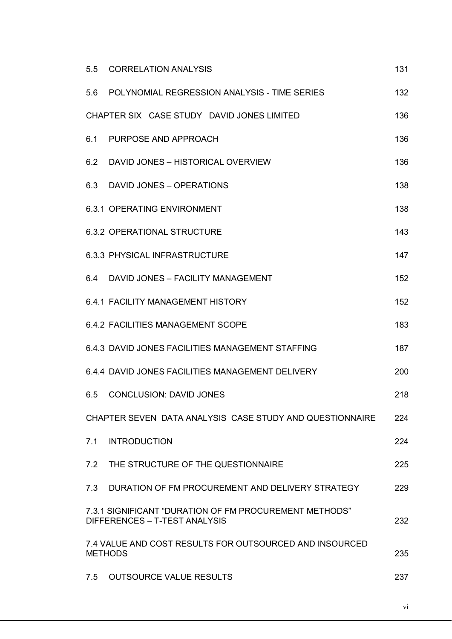| 131 |
|-----|
| 132 |
| 136 |
| 136 |
| 136 |
| 138 |
| 138 |
| 143 |
| 147 |
| 152 |
| 152 |
| 183 |
| 187 |
| 200 |
| 218 |
| 224 |
| 224 |
| 225 |
| 229 |
| 232 |
| 235 |
| 237 |
|     |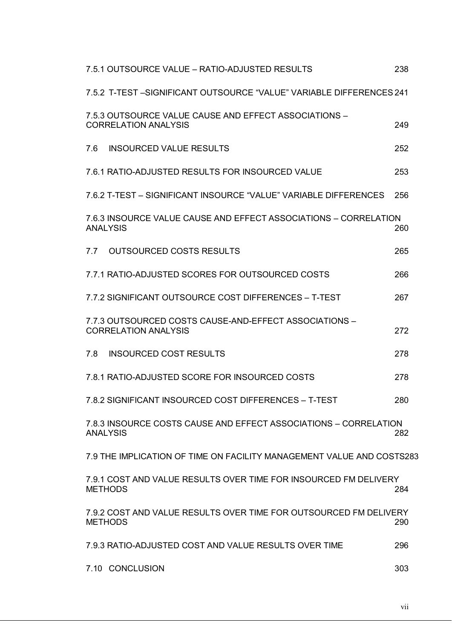| 7.5.1 OUTSOURCE VALUE – RATIO-ADJUSTED RESULTS                                        | 238 |
|---------------------------------------------------------------------------------------|-----|
| 7.5.2 T-TEST -SIGNIFICANT OUTSOURCE "VALUE" VARIABLE DIFFERENCES 241                  |     |
| 7.5.3 OUTSOURCE VALUE CAUSE AND EFFECT ASSOCIATIONS -<br><b>CORRELATION ANALYSIS</b>  | 249 |
| 7.6<br><b>INSOURCED VALUE RESULTS</b>                                                 | 252 |
| 7.6.1 RATIO-ADJUSTED RESULTS FOR INSOURCED VALUE                                      | 253 |
| 7.6.2 T-TEST - SIGNIFICANT INSOURCE "VALUE" VARIABLE DIFFERENCES                      | 256 |
| 7.6.3 INSOURCE VALUE CAUSE AND EFFECT ASSOCIATIONS - CORRELATION<br><b>ANALYSIS</b>   | 260 |
| <b>OUTSOURCED COSTS RESULTS</b><br>7.7                                                | 265 |
| 7.7.1 RATIO-ADJUSTED SCORES FOR OUTSOURCED COSTS                                      | 266 |
| 7.7.2 SIGNIFICANT OUTSOURCE COST DIFFERENCES - T-TEST                                 | 267 |
| 7.7.3 OUTSOURCED COSTS CAUSE-AND-EFFECT ASSOCIATIONS -<br><b>CORRELATION ANALYSIS</b> | 272 |
| 7.8<br><b>INSOURCED COST RESULTS</b>                                                  | 278 |
| 7.8.1 RATIO-ADJUSTED SCORE FOR INSOURCED COSTS                                        | 278 |
| 7.8.2 SIGNIFICANT INSOURCED COST DIFFERENCES - T-TEST                                 | 280 |
| 7.8.3 INSOURCE COSTS CAUSE AND EFFECT ASSOCIATIONS - CORRELATION<br><b>ANALYSIS</b>   | 282 |
| 7.9 THE IMPLICATION OF TIME ON FACILITY MANAGEMENT VALUE AND COSTS283                 |     |
| 7.9.1 COST AND VALUE RESULTS OVER TIME FOR INSOURCED FM DELIVERY<br><b>METHODS</b>    | 284 |
| 7.9.2 COST AND VALUE RESULTS OVER TIME FOR OUTSOURCED FM DELIVERY<br><b>METHODS</b>   | 290 |
| 7.9.3 RATIO-ADJUSTED COST AND VALUE RESULTS OVER TIME                                 | 296 |
| 7.10 CONCLUSION                                                                       | 303 |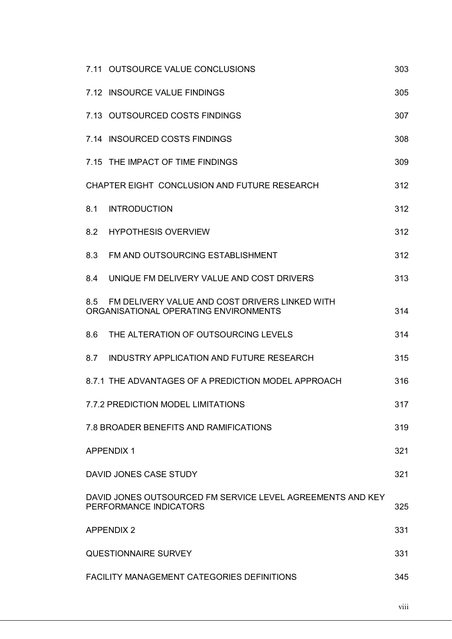| 7.11 OUTSOURCE VALUE CONCLUSIONS                                                            | 303 |
|---------------------------------------------------------------------------------------------|-----|
| 7.12 INSOURCE VALUE FINDINGS                                                                | 305 |
| 7.13 OUTSOURCED COSTS FINDINGS                                                              | 307 |
| 7.14 INSOURCED COSTS FINDINGS                                                               | 308 |
| 7.15 THE IMPACT OF TIME FINDINGS                                                            | 309 |
| CHAPTER EIGHT CONCLUSION AND FUTURE RESEARCH                                                | 312 |
| <b>INTRODUCTION</b><br>8.1                                                                  | 312 |
| 8.2 HYPOTHESIS OVERVIEW                                                                     | 312 |
| FM AND OUTSOURCING ESTABLISHMENT<br>8.3                                                     | 312 |
| UNIQUE FM DELIVERY VALUE AND COST DRIVERS<br>84                                             | 313 |
| 8.5 FM DELIVERY VALUE AND COST DRIVERS LINKED WITH<br>ORGANISATIONAL OPERATING ENVIRONMENTS | 314 |
| THE ALTERATION OF OUTSOURCING LEVELS<br>8.6                                                 | 314 |
| 8.7 INDUSTRY APPLICATION AND FUTURE RESEARCH                                                | 315 |
| 8.7.1 THE ADVANTAGES OF A PREDICTION MODEL APPROACH                                         | 316 |
| <b>7.7.2 PREDICTION MODEL LIMITATIONS</b>                                                   | 317 |
| 7.8 BROADER BENEFITS AND RAMIFICATIONS                                                      | 319 |
| <b>APPENDIX 1</b>                                                                           | 321 |
| DAVID JONES CASE STUDY                                                                      | 321 |
| DAVID JONES OUTSOURCED FM SERVICE LEVEL AGREEMENTS AND KEY<br>PERFORMANCE INDICATORS        | 325 |
| <b>APPENDIX 2</b>                                                                           | 331 |
| <b>QUESTIONNAIRE SURVEY</b>                                                                 | 331 |
| <b>FACILITY MANAGEMENT CATEGORIES DEFINITIONS</b>                                           | 345 |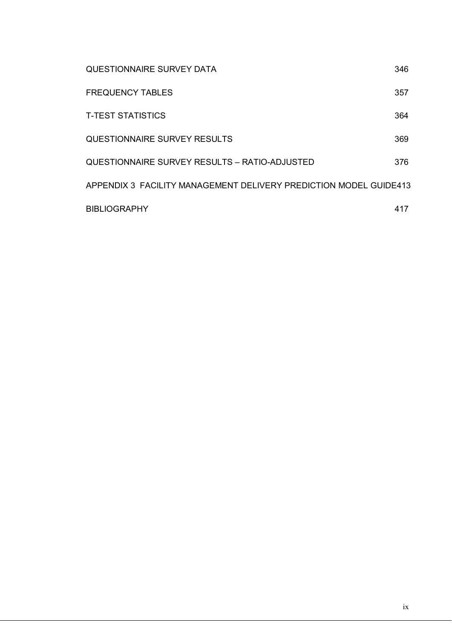| <b>QUESTIONNAIRE SURVEY DATA</b>                                  | 346 |
|-------------------------------------------------------------------|-----|
| <b>FREQUENCY TABLES</b>                                           | 357 |
| <b>T-TEST STATISTICS</b>                                          | 364 |
| QUESTIONNAIRE SURVEY RESULTS                                      | 369 |
| QUESTIONNAIRE SURVEY RESULTS - RATIO-ADJUSTED                     | 376 |
| APPENDIX 3 FACILITY MANAGEMENT DELIVERY PREDICTION MODEL GUIDE413 |     |
| <b>BIBLIOGRAPHY</b>                                               | 417 |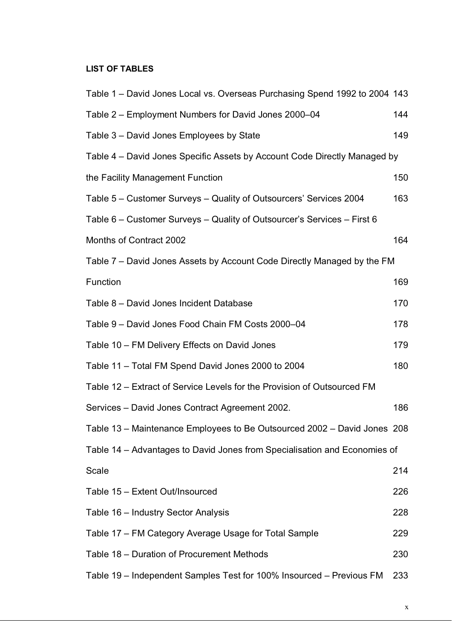## **LIST OF TABLES**

| Table 1 – David Jones Local vs. Overseas Purchasing Spend 1992 to 2004 143 |     |
|----------------------------------------------------------------------------|-----|
| Table 2 – Employment Numbers for David Jones 2000–04                       | 144 |
| Table 3 - David Jones Employees by State                                   | 149 |
| Table 4 – David Jones Specific Assets by Account Code Directly Managed by  |     |
| the Facility Management Function                                           | 150 |
| Table 5 – Customer Surveys – Quality of Outsourcers' Services 2004         | 163 |
| Table 6 – Customer Surveys – Quality of Outsourcer's Services – First 6    |     |
| Months of Contract 2002                                                    | 164 |
| Table 7 – David Jones Assets by Account Code Directly Managed by the FM    |     |
| Function                                                                   | 169 |
| Table 8 - David Jones Incident Database                                    | 170 |
| Table 9 - David Jones Food Chain FM Costs 2000-04                          | 178 |
| Table 10 - FM Delivery Effects on David Jones                              | 179 |
| Table 11 - Total FM Spend David Jones 2000 to 2004                         | 180 |
| Table 12 – Extract of Service Levels for the Provision of Outsourced FM    |     |
| Services - David Jones Contract Agreement 2002.                            | 186 |
| Table 13 - Maintenance Employees to Be Outsourced 2002 - David Jones 208   |     |
| Table 14 – Advantages to David Jones from Specialisation and Economies of  |     |
| Scale                                                                      | 214 |
| Table 15 - Extent Out/Insourced                                            | 226 |
| Table 16 - Industry Sector Analysis                                        | 228 |
| Table 17 – FM Category Average Usage for Total Sample                      | 229 |
| Table 18 – Duration of Procurement Methods                                 | 230 |
| Table 19 - Independent Samples Test for 100% Insourced - Previous FM       | 233 |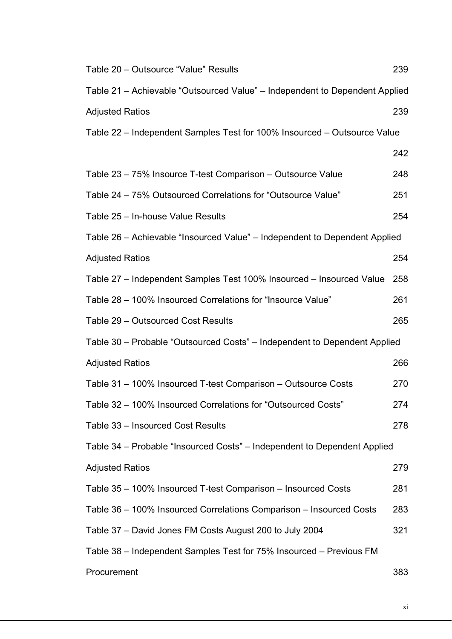| Table 20 - Outsource "Value" Results                                        | 239 |
|-----------------------------------------------------------------------------|-----|
| Table 21 – Achievable "Outsourced Value" – Independent to Dependent Applied |     |
| <b>Adjusted Ratios</b>                                                      | 239 |
| Table 22 - Independent Samples Test for 100% Insourced - Outsource Value    |     |
|                                                                             | 242 |
| Table 23 - 75% Insource T-test Comparison - Outsource Value                 | 248 |
| Table 24 - 75% Outsourced Correlations for "Outsource Value"                | 251 |
| Table 25 - In-house Value Results                                           | 254 |
| Table 26 - Achievable "Insourced Value" - Independent to Dependent Applied  |     |
| <b>Adjusted Ratios</b>                                                      | 254 |
| Table 27 – Independent Samples Test 100% Insourced – Insourced Value        | 258 |
| Table 28 - 100% Insourced Correlations for "Insource Value"                 | 261 |
| Table 29 - Outsourced Cost Results                                          | 265 |
| Table 30 – Probable "Outsourced Costs" – Independent to Dependent Applied   |     |
| <b>Adjusted Ratios</b>                                                      | 266 |
| Table 31 - 100% Insourced T-test Comparison - Outsource Costs               | 270 |
| Table 32 - 100% Insourced Correlations for "Outsourced Costs"               | 274 |
| Table 33 - Insourced Cost Results                                           | 278 |
| Table 34 – Probable "Insourced Costs" – Independent to Dependent Applied    |     |
| <b>Adjusted Ratios</b>                                                      | 279 |
| Table 35 – 100% Insourced T-test Comparison – Insourced Costs               | 281 |
| Table 36 - 100% Insourced Correlations Comparison - Insourced Costs         | 283 |
| Table 37 – David Jones FM Costs August 200 to July 2004                     | 321 |
| Table 38 - Independent Samples Test for 75% Insourced - Previous FM         |     |
| Procurement                                                                 | 383 |

xi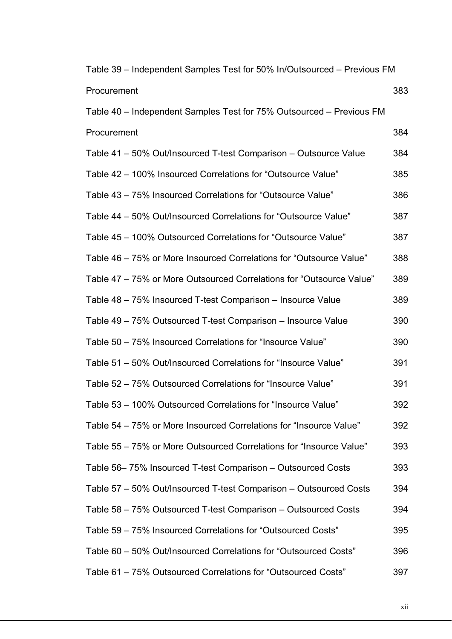| Table 39 - Independent Samples Test for 50% In/Outsourced - Previous FM |     |
|-------------------------------------------------------------------------|-----|
| Procurement                                                             | 383 |
| Table 40 - Independent Samples Test for 75% Outsourced - Previous FM    |     |
| Procurement                                                             | 384 |
| Table 41 – 50% Out/Insourced T-test Comparison – Outsource Value        | 384 |
| Table 42 – 100% Insourced Correlations for "Outsource Value"            | 385 |
| Table 43 – 75% Insourced Correlations for "Outsource Value"             | 386 |
| Table 44 – 50% Out/Insourced Correlations for "Outsource Value"         | 387 |
| Table 45 - 100% Outsourced Correlations for "Outsource Value"           | 387 |
| Table 46 – 75% or More Insourced Correlations for "Outsource Value"     | 388 |
| Table 47 – 75% or More Outsourced Correlations for "Outsource Value"    | 389 |
| Table 48 – 75% Insourced T-test Comparison – Insource Value             | 389 |
| Table 49 – 75% Outsourced T-test Comparison – Insource Value            | 390 |
| Table 50 - 75% Insourced Correlations for "Insource Value"              | 390 |
| Table 51 – 50% Out/Insourced Correlations for "Insource Value"          | 391 |
| Table 52 – 75% Outsourced Correlations for "Insource Value"             | 391 |
| Table 53 - 100% Outsourced Correlations for "Insource Value"            | 392 |
| Table 54 – 75% or More Insourced Correlations for "Insource Value"      | 392 |
| Table 55 - 75% or More Outsourced Correlations for "Insource Value"     | 393 |
| Table 56–75% Insourced T-test Comparison – Outsourced Costs             | 393 |
| Table 57 – 50% Out/Insourced T-test Comparison – Outsourced Costs       | 394 |
| Table 58 – 75% Outsourced T-test Comparison – Outsourced Costs          | 394 |
| Table 59 – 75% Insourced Correlations for "Outsourced Costs"            | 395 |
| Table 60 - 50% Out/Insourced Correlations for "Outsourced Costs"        | 396 |
| Table 61 – 75% Outsourced Correlations for "Outsourced Costs"           | 397 |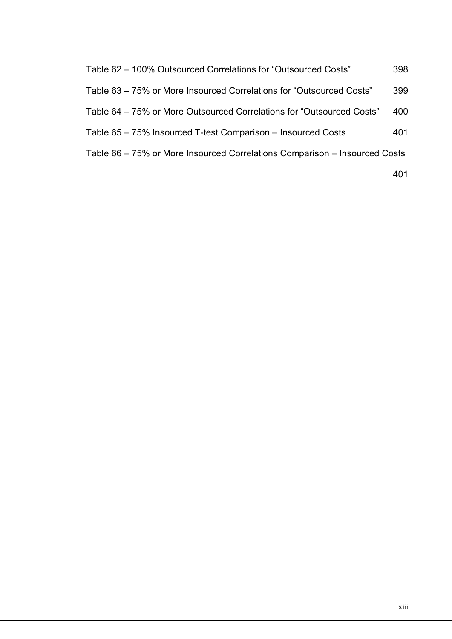| Table 62 – 100% Outsourced Correlations for "Outsourced Costs"             | 398 |
|----------------------------------------------------------------------------|-----|
| Table 63 – 75% or More Insourced Correlations for "Outsourced Costs"       | 399 |
| Table 64 – 75% or More Outsourced Correlations for "Outsourced Costs"      | 400 |
| Table 65 – 75% Insourced T-test Comparison – Insourced Costs               | 401 |
| Table 66 – 75% or More Insourced Correlations Comparison – Insourced Costs |     |

401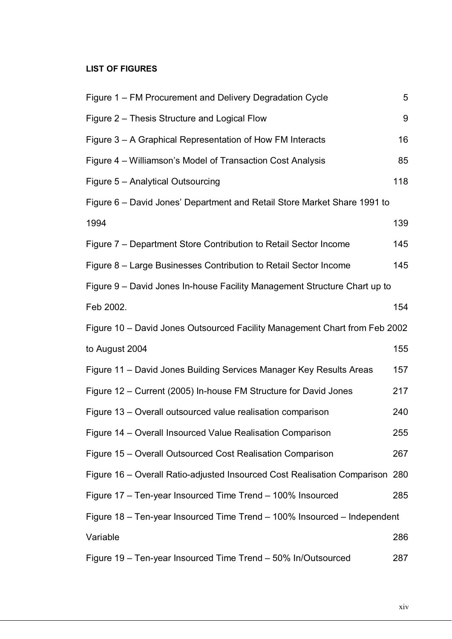#### **LIST OF FIGURES**

| Figure 1 – FM Procurement and Delivery Degradation Cycle                     | 5   |
|------------------------------------------------------------------------------|-----|
| Figure 2 - Thesis Structure and Logical Flow                                 | 9   |
| Figure 3 – A Graphical Representation of How FM Interacts                    | 16  |
| Figure 4 – Williamson's Model of Transaction Cost Analysis                   | 85  |
| Figure 5 - Analytical Outsourcing                                            | 118 |
| Figure 6 – David Jones' Department and Retail Store Market Share 1991 to     |     |
| 1994                                                                         | 139 |
| Figure 7 – Department Store Contribution to Retail Sector Income             | 145 |
| Figure 8 – Large Businesses Contribution to Retail Sector Income             | 145 |
| Figure 9 – David Jones In-house Facility Management Structure Chart up to    |     |
| Feb 2002.                                                                    | 154 |
| Figure 10 – David Jones Outsourced Facility Management Chart from Feb 2002   |     |
| to August 2004                                                               | 155 |
| Figure 11 - David Jones Building Services Manager Key Results Areas          | 157 |
| Figure 12 – Current (2005) In-house FM Structure for David Jones             | 217 |
| Figure 13 – Overall outsourced value realisation comparison                  | 240 |
| Figure 14 - Overall Insourced Value Realisation Comparison                   | 255 |
| Figure 15 – Overall Outsourced Cost Realisation Comparison                   | 267 |
| Figure 16 – Overall Ratio-adjusted Insourced Cost Realisation Comparison 280 |     |
| Figure 17 - Ten-year Insourced Time Trend - 100% Insourced                   | 285 |
| Figure 18 - Ten-year Insourced Time Trend - 100% Insourced - Independent     |     |
| Variable                                                                     | 286 |
| Figure 19 - Ten-year Insourced Time Trend - 50% In/Outsourced                | 287 |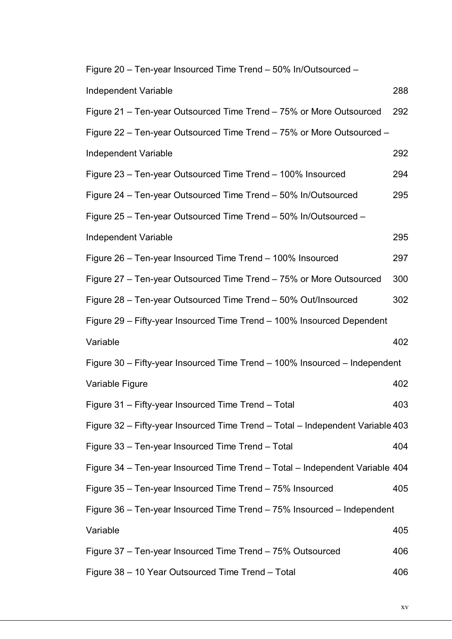Figure 20 – Ten-year Insourced Time Trend – 50% In/Outsourced –

| Independent Variable                                                           | 288 |
|--------------------------------------------------------------------------------|-----|
| Figure 21 – Ten-year Outsourced Time Trend – 75% or More Outsourced            | 292 |
| Figure 22 – Ten-year Outsourced Time Trend – 75% or More Outsourced –          |     |
| <b>Independent Variable</b>                                                    | 292 |
| Figure 23 – Ten-year Outsourced Time Trend – 100% Insourced                    | 294 |
| Figure 24 - Ten-year Outsourced Time Trend - 50% In/Outsourced                 | 295 |
| Figure 25 - Ten-year Outsourced Time Trend - 50% In/Outsourced -               |     |
| Independent Variable                                                           | 295 |
| Figure 26 – Ten-year Insourced Time Trend – 100% Insourced                     | 297 |
| Figure 27 - Ten-year Outsourced Time Trend - 75% or More Outsourced            | 300 |
| Figure 28 - Ten-year Outsourced Time Trend - 50% Out/Insourced                 | 302 |
| Figure 29 - Fifty-year Insourced Time Trend - 100% Insourced Dependent         |     |
| Variable                                                                       | 402 |
| Figure 30 - Fifty-year Insourced Time Trend - 100% Insourced - Independent     |     |
|                                                                                |     |
| Variable Figure                                                                | 402 |
| Figure 31 - Fifty-year Insourced Time Trend - Total                            | 403 |
| Figure 32 - Fifty-year Insourced Time Trend - Total - Independent Variable 403 |     |
| Figure 33 - Ten-year Insourced Time Trend - Total                              | 404 |
| Figure 34 – Ten-year Insourced Time Trend – Total – Independent Variable 404   |     |
| Figure 35 - Ten-year Insourced Time Trend - 75% Insourced                      | 405 |
| Figure 36 - Ten-year Insourced Time Trend - 75% Insourced - Independent        |     |
| Variable                                                                       | 405 |
| Figure 37 - Ten-year Insourced Time Trend - 75% Outsourced                     | 406 |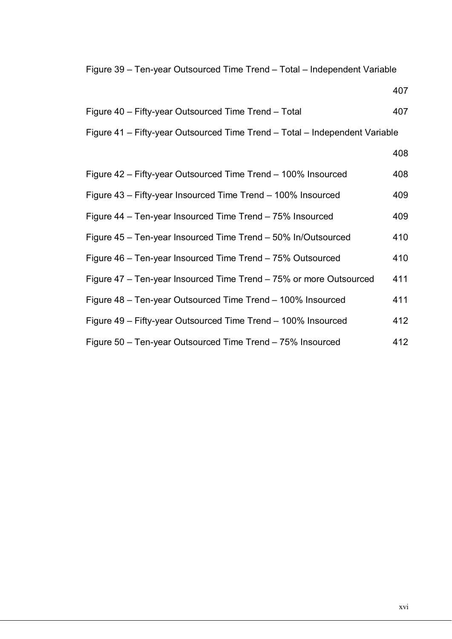Figure 39 – Ten-year Outsourced Time Trend – Total – Independent Variable

407

| Figure 40 - Fifty-year Outsourced Time Trend - Total                        | 407 |
|-----------------------------------------------------------------------------|-----|
| Figure 41 – Fifty-year Outsourced Time Trend – Total – Independent Variable |     |
|                                                                             | 408 |
| Figure 42 – Fifty-year Outsourced Time Trend – 100% Insourced               | 408 |
| Figure 43 – Fifty-year Insourced Time Trend – 100% Insourced                | 409 |
| Figure 44 - Ten-year Insourced Time Trend - 75% Insourced                   | 409 |
| Figure 45 - Ten-year Insourced Time Trend - 50% In/Outsourced               | 410 |
| Figure 46 - Ten-year Insourced Time Trend - 75% Outsourced                  | 410 |
| Figure 47 - Ten-year Insourced Time Trend - 75% or more Outsourced          | 411 |
| Figure 48 - Ten-year Outsourced Time Trend - 100% Insourced                 | 411 |
| Figure 49 - Fifty-year Outsourced Time Trend - 100% Insourced               | 412 |
| Figure 50 - Ten-year Outsourced Time Trend - 75% Insourced                  | 412 |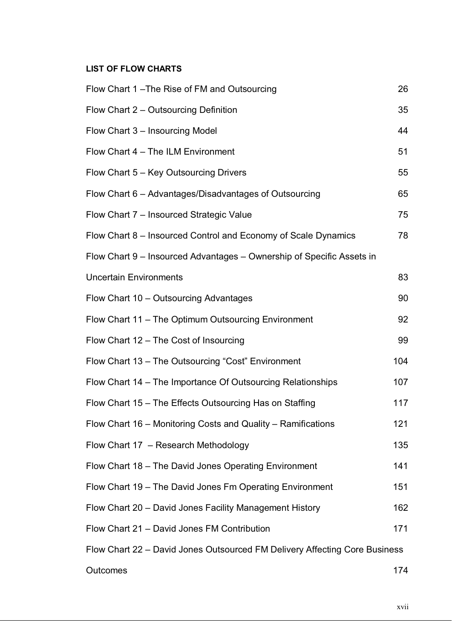#### **LIST OF FLOW CHARTS**

| Flow Chart 1-The Rise of FM and Outsourcing                                | 26  |
|----------------------------------------------------------------------------|-----|
| Flow Chart 2 – Outsourcing Definition                                      | 35  |
| Flow Chart 3 – Insourcing Model                                            | 44  |
| Flow Chart 4 - The ILM Environment                                         | 51  |
| Flow Chart 5 - Key Outsourcing Drivers                                     | 55  |
| Flow Chart 6 - Advantages/Disadvantages of Outsourcing                     | 65  |
| Flow Chart 7 - Insourced Strategic Value                                   | 75  |
| Flow Chart 8 – Insourced Control and Economy of Scale Dynamics             | 78  |
| Flow Chart 9 – Insourced Advantages – Ownership of Specific Assets in      |     |
| <b>Uncertain Environments</b>                                              | 83  |
| Flow Chart 10 - Outsourcing Advantages                                     | 90  |
| Flow Chart 11 - The Optimum Outsourcing Environment                        | 92  |
| Flow Chart 12 - The Cost of Insourcing                                     | 99  |
| Flow Chart 13 - The Outsourcing "Cost" Environment                         | 104 |
| Flow Chart 14 – The Importance Of Outsourcing Relationships                | 107 |
| Flow Chart 15 - The Effects Outsourcing Has on Staffing                    | 117 |
| Flow Chart 16 - Monitoring Costs and Quality - Ramifications               | 121 |
| Flow Chart 17 - Research Methodology                                       | 135 |
| Flow Chart 18 - The David Jones Operating Environment                      | 141 |
| Flow Chart 19 - The David Jones Fm Operating Environment                   | 151 |
| Flow Chart 20 - David Jones Facility Management History                    | 162 |
| Flow Chart 21 - David Jones FM Contribution                                | 171 |
| Flow Chart 22 - David Jones Outsourced FM Delivery Affecting Core Business |     |
| Outcomes                                                                   | 174 |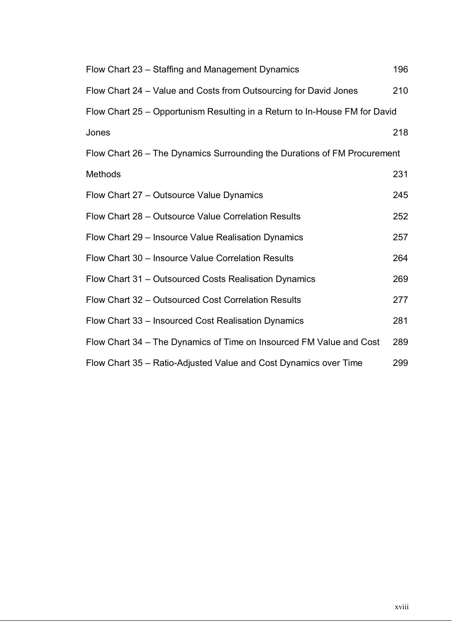| Flow Chart 23 - Staffing and Management Dynamics                           | 196 |
|----------------------------------------------------------------------------|-----|
| Flow Chart 24 – Value and Costs from Outsourcing for David Jones           | 210 |
| Flow Chart 25 – Opportunism Resulting in a Return to In-House FM for David |     |
| Jones                                                                      | 218 |
| Flow Chart 26 - The Dynamics Surrounding the Durations of FM Procurement   |     |
| Methods                                                                    | 231 |
| Flow Chart 27 - Outsource Value Dynamics                                   | 245 |
| Flow Chart 28 - Outsource Value Correlation Results                        | 252 |
| Flow Chart 29 - Insource Value Realisation Dynamics                        | 257 |
| Flow Chart 30 - Insource Value Correlation Results                         | 264 |
| Flow Chart 31 – Outsourced Costs Realisation Dynamics                      | 269 |
| Flow Chart 32 - Outsourced Cost Correlation Results                        | 277 |
| Flow Chart 33 – Insourced Cost Realisation Dynamics                        | 281 |
| Flow Chart 34 – The Dynamics of Time on Insourced FM Value and Cost        | 289 |
| Flow Chart 35 - Ratio-Adjusted Value and Cost Dynamics over Time           | 299 |